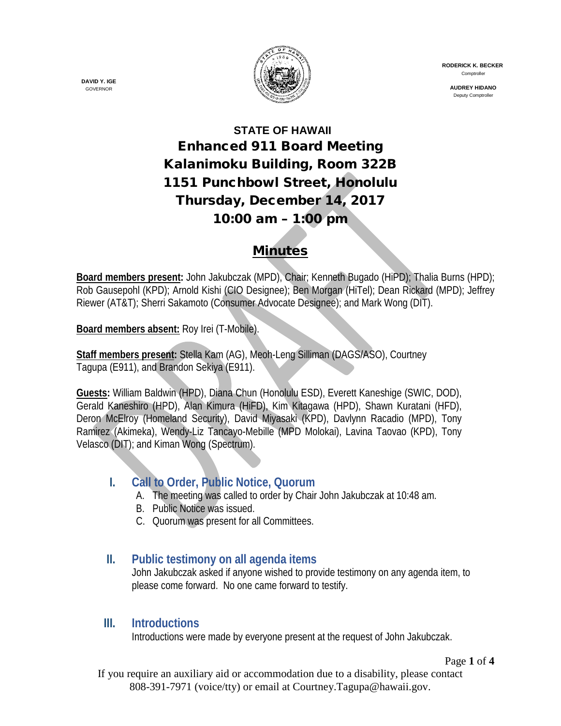

 **RODERICK K. BECKER** Comptroller

> **AUDREY HIDANO** Deputy Comptroller

# **STATE OF HAWAII** Enhanced 911 Board Meeting Kalanimoku Building, Room 322B 1151 Punchbowl Street, Honolulu Thursday, December 14, 2017 10:00 am – 1:00 pm

### Minutes

**Board members present:** John Jakubczak (MPD), Chair; Kenneth Bugado (HiPD); Thalia Burns (HPD); Rob Gausepohl (KPD); Arnold Kishi (CIO Designee); Ben Morgan (HiTel); Dean Rickard (MPD); Jeffrey Riewer (AT&T); Sherri Sakamoto (Consumer Advocate Designee); and Mark Wong (DIT).

**Board members absent:** Roy Irei (T-Mobile).

**Staff members present:** Stella Kam (AG), Meoh-Leng Silliman (DAGS/ASO), Courtney Tagupa (E911), and Brandon Sekiya (E911).

**Guests:** William Baldwin (HPD), Diana Chun (Honolulu ESD), Everett Kaneshige (SWIC, DOD), Gerald Kaneshiro (HPD), Alan Kimura (HiFD), Kim Kitagawa (HPD), Shawn Kuratani (HFD), Deron McElroy (Homeland Security), David Miyasaki (KPD), Davlynn Racadio (MPD), Tony Ramirez (Akimeka), Wendy-Liz Tancayo-Mebille (MPD Molokai), Lavina Taovao (KPD), Tony Velasco (DIT); and Kiman Wong (Spectrum).

## **I. Call to Order, Public Notice, Quorum**

- A. The meeting was called to order by Chair John Jakubczak at 10:48 am.
- B. Public Notice was issued.
- C. Quorum was present for all Committees.

### **II. Public testimony on all agenda items**

John Jakubczak asked if anyone wished to provide testimony on any agenda item, to please come forward. No one came forward to testify.

### **III. Introductions**

Introductions were made by everyone present at the request of John Jakubczak.

Page **1** of **4**

If you require an auxiliary aid or accommodation due to a disability, please contact 808-391-7971 (voice/tty) or email at Courtney.Tagupa@hawaii.gov.

**DAVID Y. IGE** GOVERNOR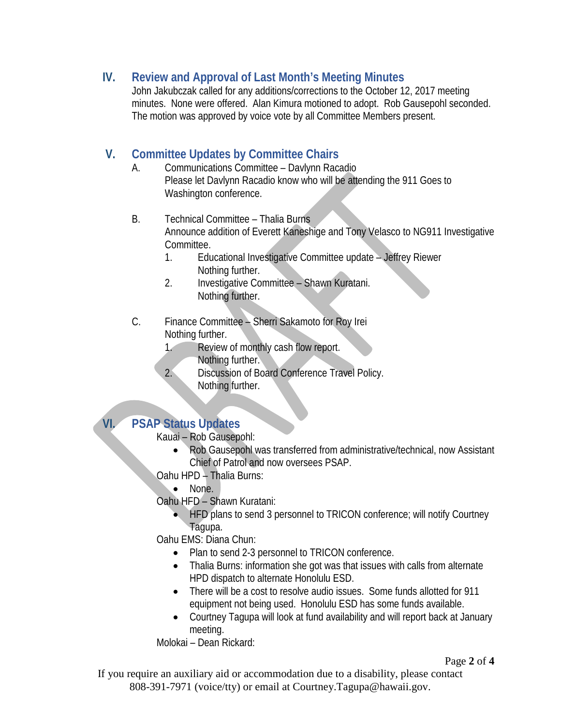### **IV. Review and Approval of Last Month's Meeting Minutes**

John Jakubczak called for any additions/corrections to the October 12, 2017 meeting minutes. None were offered. Alan Kimura motioned to adopt. Rob Gausepohl seconded. The motion was approved by voice vote by all Committee Members present.

### **V. Committee Updates by Committee Chairs**

- A. Communications Committee Davlynn Racadio Please let Davlynn Racadio know who will be attending the 911 Goes to Washington conference.
- B. Technical Committee Thalia Burns Announce addition of Everett Kaneshige and Tony Velasco to NG911 Investigative Committee.
	- 1. Educational Investigative Committee update Jeffrey Riewer Nothing further.
	- 2. Investigative Committee Shawn Kuratani. Nothing further.
- C. Finance Committee Sherri Sakamoto for Roy Irei Nothing further.
	- 1. Review of monthly cash flow report.
		- Nothing further.
	- 2. Discussion of Board Conference Travel Policy. Nothing further.

### **VI. PSAP Status Updates**

#### Kauai – Rob Gausepohl:

- Rob Gausepohl was transferred from administrative/technical, now Assistant Chief of Patrol and now oversees PSAP.
- Oahu HPD Thalia Burns:
	- None.

Oahu HFD – Shawn Kuratani:

• HFD plans to send 3 personnel to TRICON conference; will notify Courtney Tagupa.

Oahu EMS: Diana Chun:

- Plan to send 2-3 personnel to TRICON conference.
- Thalia Burns: information she got was that issues with calls from alternate HPD dispatch to alternate Honolulu ESD.
- There will be a cost to resolve audio issues. Some funds allotted for 911 equipment not being used. Honolulu ESD has some funds available.
- Courtney Tagupa will look at fund availability and will report back at January meeting.

Molokai – Dean Rickard:

Page **2** of **4**

If you require an auxiliary aid or accommodation due to a disability, please contact 808-391-7971 (voice/tty) or email at Courtney.Tagupa@hawaii.gov.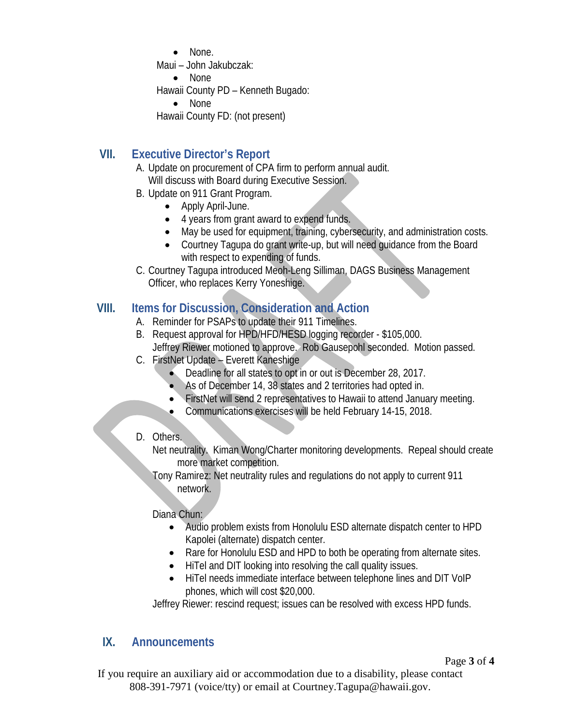• None.

Maui – John Jakubczak:

• None

Hawaii County PD – Kenneth Bugado:

```
• None
```
Hawaii County FD: (not present)

## **VII. Executive Director's Report**

A. Update on procurement of CPA firm to perform annual audit. Will discuss with Board during Executive Session.

- B. Update on 911 Grant Program.
	- Apply April-June.
	- 4 years from grant award to expend funds.
	- May be used for equipment, training, cybersecurity, and administration costs.
	- Courtney Tagupa do grant write-up, but will need guidance from the Board with respect to expending of funds.
- C. Courtney Tagupa introduced Meoh-Leng Silliman, DAGS Business Management Officer, who replaces Kerry Yoneshige.

### **VIII. Items for Discussion, Consideration and Action**

- A. Reminder for PSAPs to update their 911 Timelines.
- B. Request approval for HPD/HFD/HESD logging recorder \$105,000. Jeffrey Riewer motioned to approve. Rob Gausepohl seconded. Motion passed.
- C. FirstNet Update Everett Kaneshige
	- Deadline for all states to opt in or out is December 28, 2017.
	- As of December 14, 38 states and 2 territories had opted in.
	- FirstNet will send 2 representatives to Hawaii to attend January meeting.
	- Communications exercises will be held February 14-15, 2018.
- D. Others.
	- Net neutrality. Kiman Wong/Charter monitoring developments. Repeal should create more market competition.
	- Tony Ramirez: Net neutrality rules and regulations do not apply to current 911 network.

#### Diana Chun:

- Audio problem exists from Honolulu ESD alternate dispatch center to HPD Kapolei (alternate) dispatch center.
- Rare for Honolulu ESD and HPD to both be operating from alternate sites.
- HiTel and DIT looking into resolving the call quality issues.
- HiTel needs immediate interface between telephone lines and DIT VoIP phones, which will cost \$20,000.

Jeffrey Riewer: rescind request; issues can be resolved with excess HPD funds.

## **IX. Announcements**

Page **3** of **4**

If you require an auxiliary aid or accommodation due to a disability, please contact 808-391-7971 (voice/tty) or email at Courtney.Tagupa@hawaii.gov.